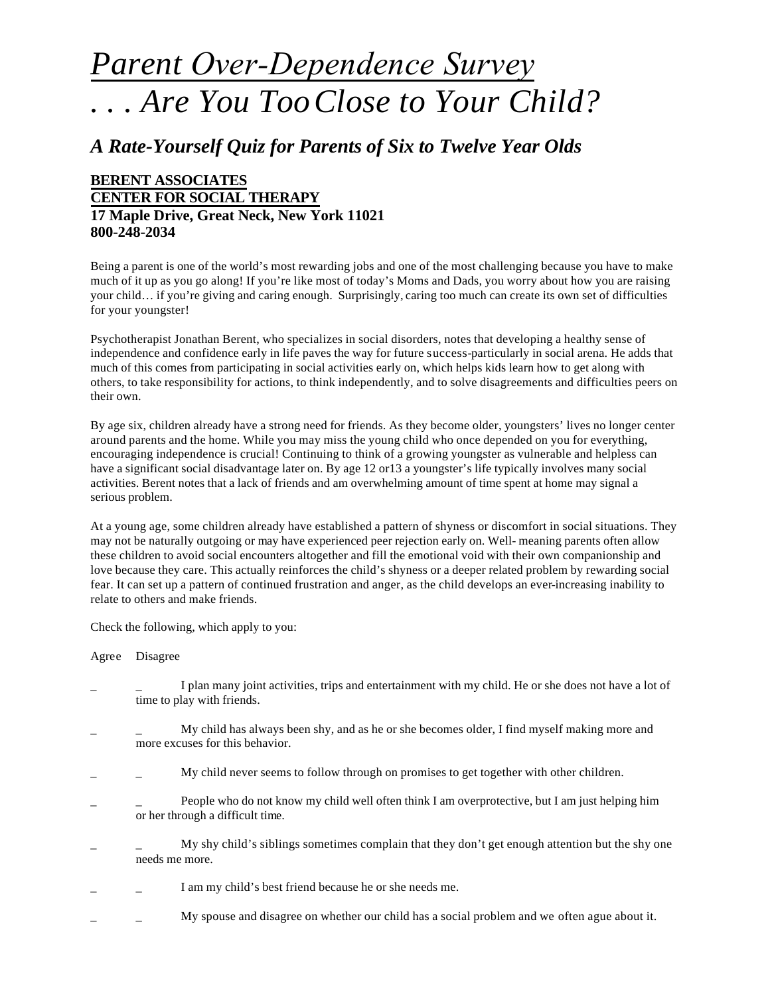## *Parent Over-Dependence Survey . . . Are You TooClose to Your Child?*

## *A Rate-Yourself Quiz for Parents of Six to Twelve Year Olds*

## **BERENT ASSOCIATES CENTER FOR SOCIAL THERAPY 17 Maple Drive, Great Neck, New York 11021 800-248-2034**

Being a parent is one of the world's most rewarding jobs and one of the most challenging because you have to make much of it up as you go along! If you're like most of today's Moms and Dads, you worry about how you are raising your child… if you're giving and caring enough. Surprisingly, caring too much can create its own set of difficulties for your youngster!

Psychotherapist Jonathan Berent, who specializes in social disorders, notes that developing a healthy sense of independence and confidence early in life paves the way for future success-particularly in social arena. He adds that much of this comes from participating in social activities early on, which helps kids learn how to get along with others, to take responsibility for actions, to think independently, and to solve disagreements and difficulties peers on their own.

By age six, children already have a strong need for friends. As they become older, youngsters' lives no longer center around parents and the home. While you may miss the young child who once depended on you for everything, encouraging independence is crucial! Continuing to think of a growing youngster as vulnerable and helpless can have a significant social disadvantage later on. By age 12 or13 a youngster's life typically involves many social activities. Berent notes that a lack of friends and am overwhelming amount of time spent at home may signal a serious problem.

At a young age, some children already have established a pattern of shyness or discomfort in social situations. They may not be naturally outgoing or may have experienced peer rejection early on. Well- meaning parents often allow these children to avoid social encounters altogether and fill the emotional void with their own companionship and love because they care. This actually reinforces the child's shyness or a deeper related problem by rewarding social fear. It can set up a pattern of continued frustration and anger, as the child develops an ever-increasing inability to relate to others and make friends.

Check the following, which apply to you:

Agree Disagree

- I plan many joint activities, trips and entertainment with my child. He or she does not have a lot of time to play with friends.
- My child has always been shy, and as he or she becomes older, I find myself making more and more excuses for this behavior.
- My child never seems to follow through on promises to get together with other children.
- People who do not know my child well often think I am overprotective, but I am just helping him or her through a difficult time.
- My shy child's siblings sometimes complain that they don't get enough attention but the shy one needs me more.
- I am my child's best friend because he or she needs me.
- My spouse and disagree on whether our child has a social problem and we often ague about it.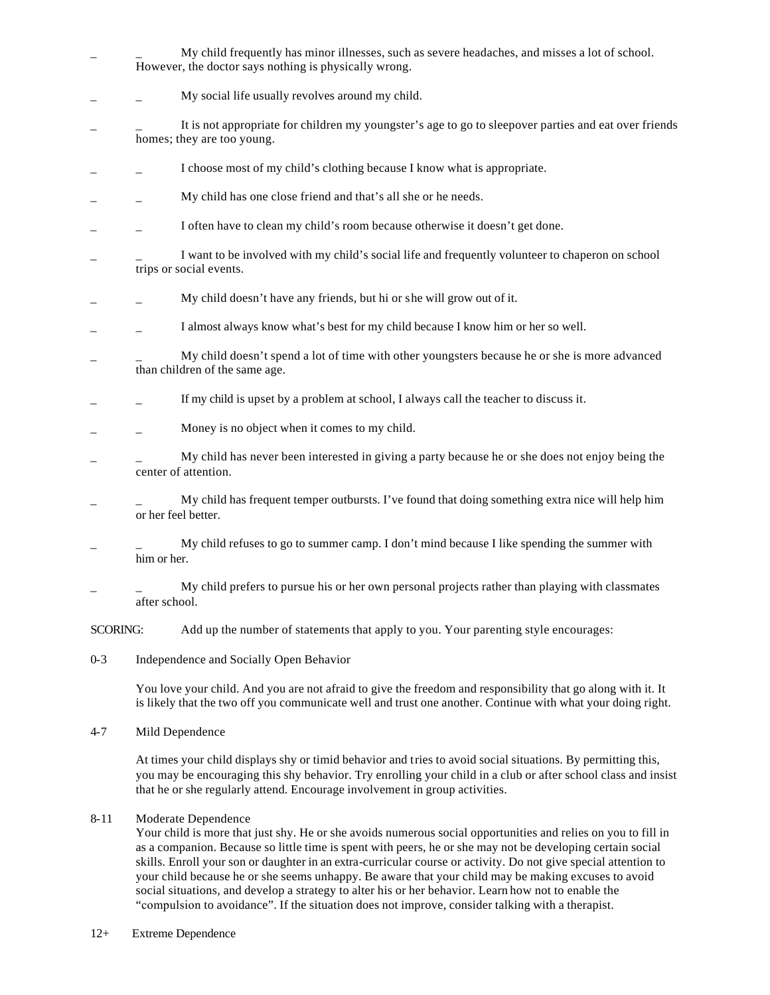- My child frequently has minor illnesses, such as severe headaches, and misses a lot of school. However, the doctor says nothing is physically wrong.
- \_ \_ My social life usually revolves around my child.
- It is not appropriate for children my youngster's age to go to sleepover parties and eat over friends homes; they are too young.
- I choose most of my child's clothing because I know what is appropriate.
- My child has one close friend and that's all she or he needs.
- I often have to clean my child's room because otherwise it doesn't get done.
- I want to be involved with my child's social life and frequently volunteer to chaperon on school trips or social events.
- \_ \_ My child doesn't have any friends, but hi or she will grow out of it.
- I almost always know what's best for my child because I know him or her so well.
- My child doesn't spend a lot of time with other youngsters because he or she is more advanced than children of the same age.
- \_ \_ If my child is upset by a problem at school, I always call the teacher to discuss it.
- Money is no object when it comes to my child.
- My child has never been interested in giving a party because he or she does not enjoy being the center of attention.
- $My$  child has frequent temper outbursts. I've found that doing something extra nice will help him or her feel better.
- $M_y$  child refuses to go to summer camp. I don't mind because I like spending the summer with him or her.
- My child prefers to pursue his or her own personal projects rather than playing with classmates after school.

SCORING: Add up the number of statements that apply to you. Your parenting style encourages:

0-3 Independence and Socially Open Behavior

> You love your child. And you are not afraid to give the freedom and responsibility that go along with it. It is likely that the two off you communicate well and trust one another. Continue with what your doing right.

4-7 Mild Dependence

> At times your child displays shy or timid behavior and tries to avoid social situations. By permitting this, you may be encouraging this shy behavior. Try enrolling your child in a club or after school class and insist that he or she regularly attend. Encourage involvement in group activities.

8-11 Moderate Dependence

Your child is more that just shy. He or she avoids numerous social opportunities and relies on you to fill in as a companion. Because so little time is spent with peers, he or she may not be developing certain social skills. Enroll your son or daughter in an extra-curricular course or activity. Do not give special attention to your child because he or she seems unhappy. Be aware that your child may be making excuses to avoid social situations, and develop a strategy to alter his or her behavior. Learn how not to enable the "compulsion to avoidance". If the situation does not improve, consider talking with a therapist.

12+ Extreme Dependence